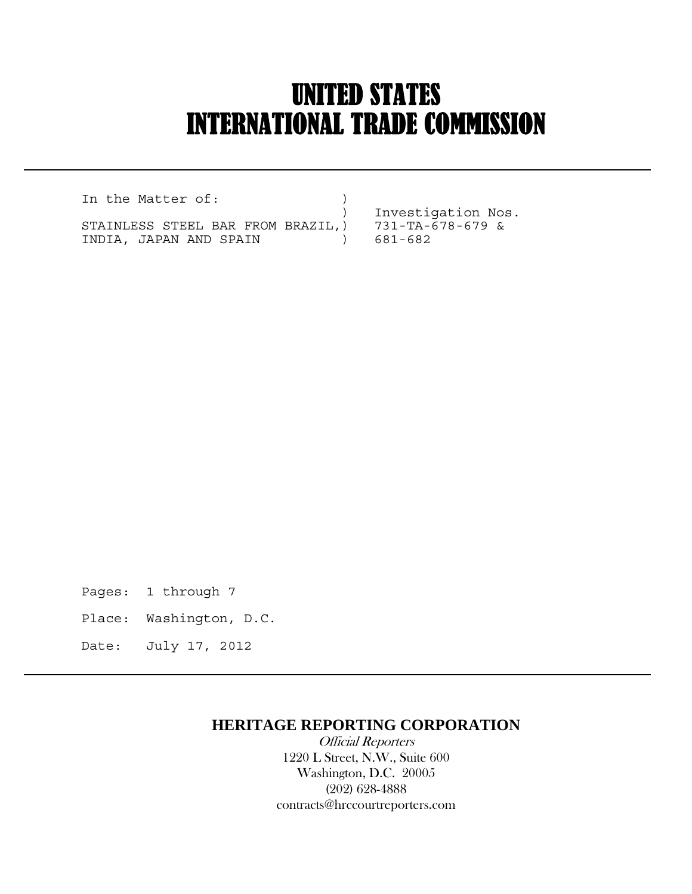# UNITED STATES INTERNATIONAL TRADE COMMISSION

In the Matter of:  $)$  ) Investigation Nos. STAINLESS STEEL BAR FROM BRAZIL,) 731-TA-678-679 & INDIA, JAPAN AND SPAIN ) 681-682

 $\overline{a}$ 

Pages: 1 through 7

- Place: Washington, D.C.
- Date: July 17, 2012

### **HERITAGE REPORTING CORPORATION**

 Official Reporters 1220 L Street, N.W., Suite 600 Washington, D.C. 20005 (202) 628-4888 contracts@hrccourtreporters.com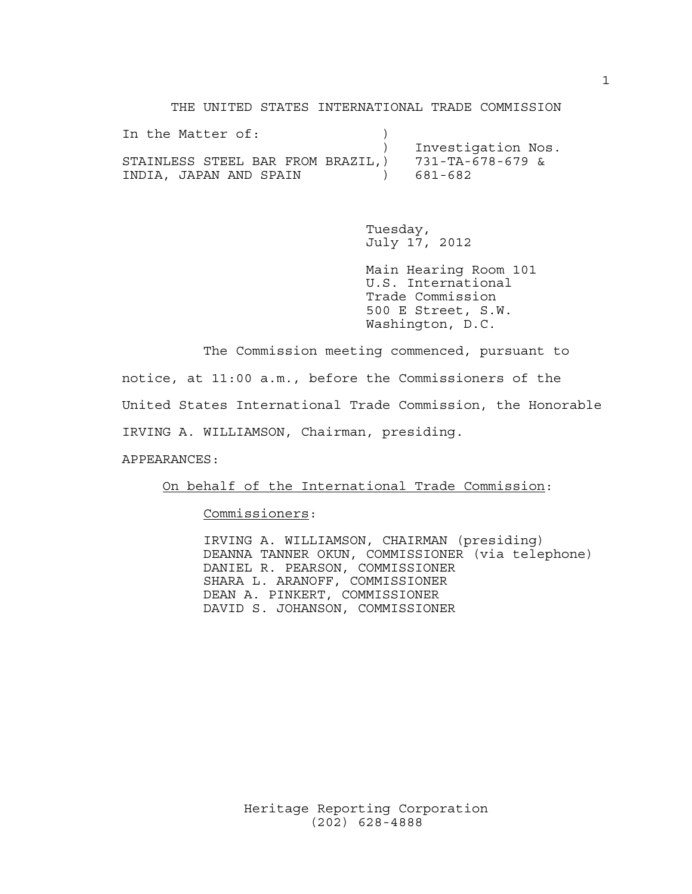THE UNITED STATES INTERNATIONAL TRADE COMMISSION

| In the Matter of:                 |                    |
|-----------------------------------|--------------------|
|                                   | Investigation Nos. |
| STAINLESS STEEL BAR FROM BRAZIL,) | 731-TA-678-679 &   |
| INDIA, JAPAN AND SPAIN            | 681-682            |

 Tuesday, July 17, 2012

 Main Hearing Room 101 U.S. International Trade Commission 500 E Street, S.W. Washington, D.C.

 The Commission meeting commenced, pursuant to notice, at 11:00 a.m., before the Commissioners of the United States International Trade Commission, the Honorable IRVING A. WILLIAMSON, Chairman, presiding.

APPEARANCES:

On behalf of the International Trade Commission:

Commissioners:

 IRVING A. WILLIAMSON, CHAIRMAN (presiding) DEANNA TANNER OKUN, COMMISSIONER (via telephone) DANIEL R. PEARSON, COMMISSIONER SHARA L. ARANOFF, COMMISSIONER DEAN A. PINKERT, COMMISSIONER DAVID S. JOHANSON, COMMISSIONER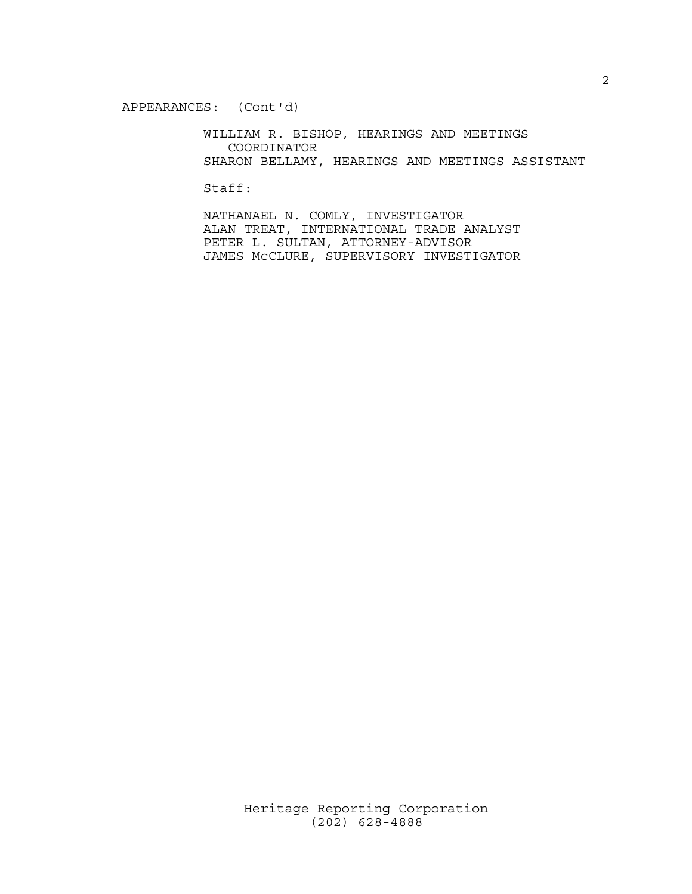WILLIAM R. BISHOP, HEARINGS AND MEETINGS COORDINATOR SHARON BELLAMY, HEARINGS AND MEETINGS ASSISTANT

Staff:

 NATHANAEL N. COMLY, INVESTIGATOR ALAN TREAT, INTERNATIONAL TRADE ANALYST PETER L. SULTAN, ATTORNEY-ADVISOR JAMES McCLURE, SUPERVISORY INVESTIGATOR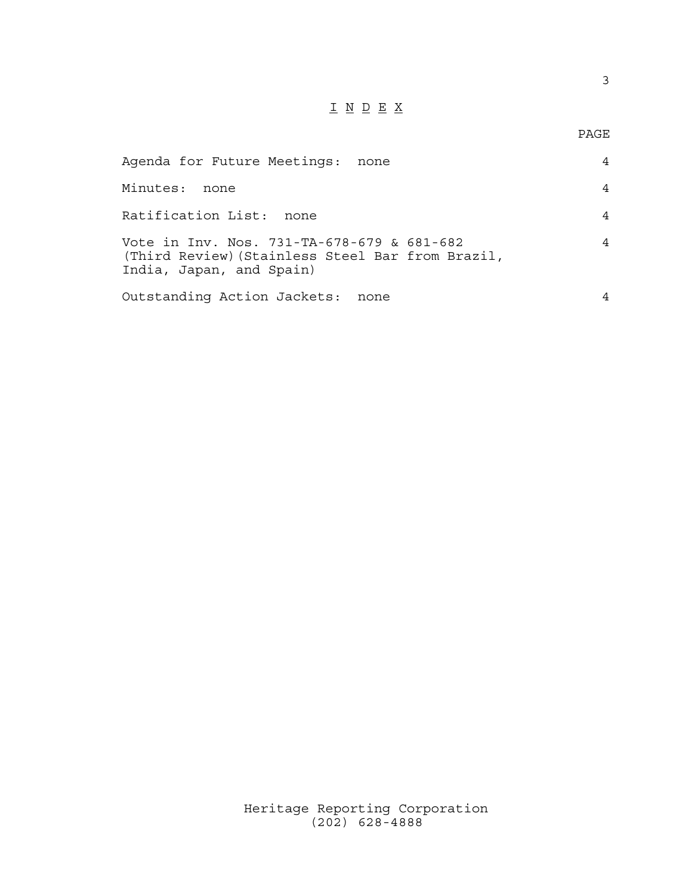# I N D E X

## PAGE

| Agenda for Future Meetings: none                                                                                           |   |
|----------------------------------------------------------------------------------------------------------------------------|---|
| Minutes:<br>none                                                                                                           | 4 |
| Ratification List: none                                                                                                    | 4 |
| Vote in Inv. Nos. 731-TA-678-679 & 681-682<br>(Third Review) (Stainless Steel Bar from Brazil,<br>India, Japan, and Spain) |   |
| Outstanding Action Jackets: none                                                                                           |   |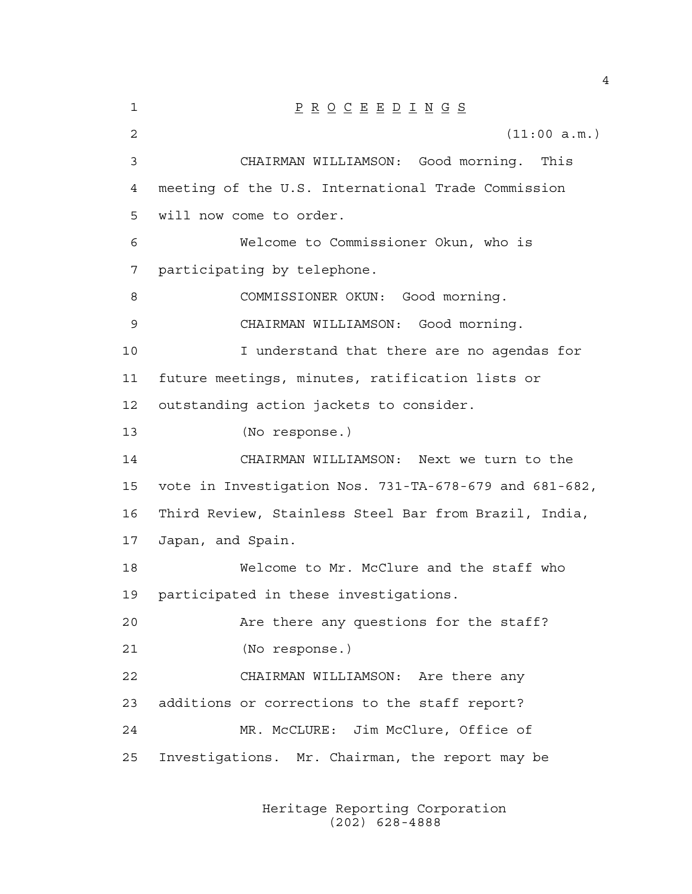1 P R O C E E D I N G S 2 (11:00 a.m.) 3 CHAIRMAN WILLIAMSON: Good morning. This 4 meeting of the U.S. International Trade Commission 5 will now come to order. 6 Welcome to Commissioner Okun, who is 7 participating by telephone. 8 COMMISSIONER OKUN: Good morning. 9 CHAIRMAN WILLIAMSON: Good morning. 10 I understand that there are no agendas for 11 future meetings, minutes, ratification lists or 12 outstanding action jackets to consider. 13 (No response.) 14 CHAIRMAN WILLIAMSON: Next we turn to the 15 vote in Investigation Nos. 731-TA-678-679 and 681-682, 16 Third Review, Stainless Steel Bar from Brazil, India, 17 Japan, and Spain. 18 Welcome to Mr. McClure and the staff who 19 participated in these investigations. 20 Are there any questions for the staff? 21 (No response.) 22 CHAIRMAN WILLIAMSON: Are there any 23 additions or corrections to the staff report? 24 MR. McCLURE: Jim McClure, Office of 25 Investigations. Mr. Chairman, the report may be

> Heritage Reporting Corporation (202) 628-4888

4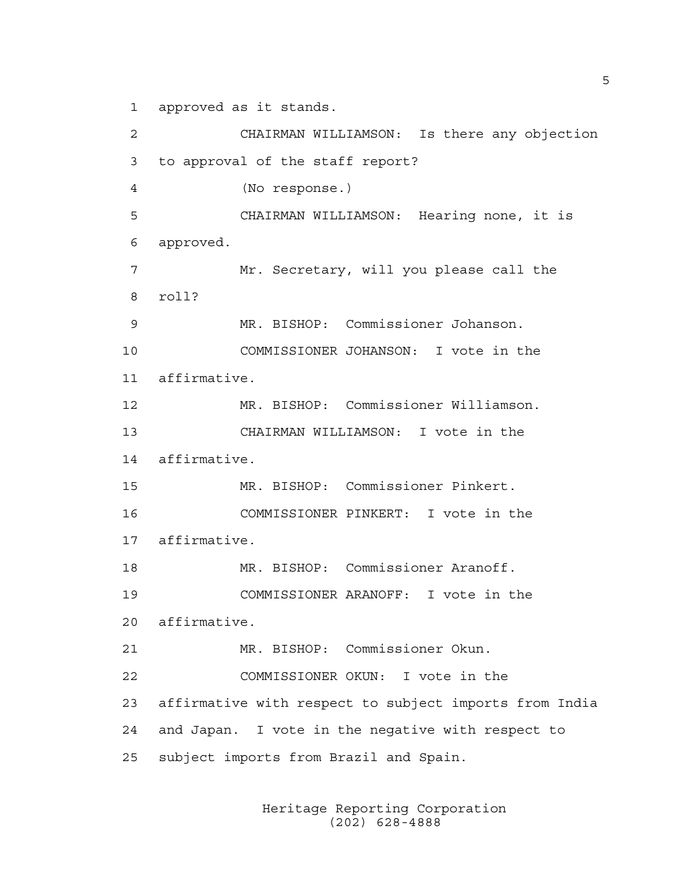1 approved as it stands.

2 CHAIRMAN WILLIAMSON: Is there any objection 3 to approval of the staff report? 4 (No response.) 5 CHAIRMAN WILLIAMSON: Hearing none, it is 6 approved. 7 Mr. Secretary, will you please call the 8 roll? 9 MR. BISHOP: Commissioner Johanson. 10 COMMISSIONER JOHANSON: I vote in the 11 affirmative. 12 MR. BISHOP: Commissioner Williamson. 13 CHAIRMAN WILLIAMSON: I vote in the 14 affirmative. 15 MR. BISHOP: Commissioner Pinkert. 16 COMMISSIONER PINKERT: I vote in the 17 affirmative. 18 MR. BISHOP: Commissioner Aranoff. 19 COMMISSIONER ARANOFF: I vote in the 20 affirmative. 21 MR. BISHOP: Commissioner Okun. 22 COMMISSIONER OKUN: I vote in the 23 affirmative with respect to subject imports from India 24 and Japan. I vote in the negative with respect to 25 subject imports from Brazil and Spain.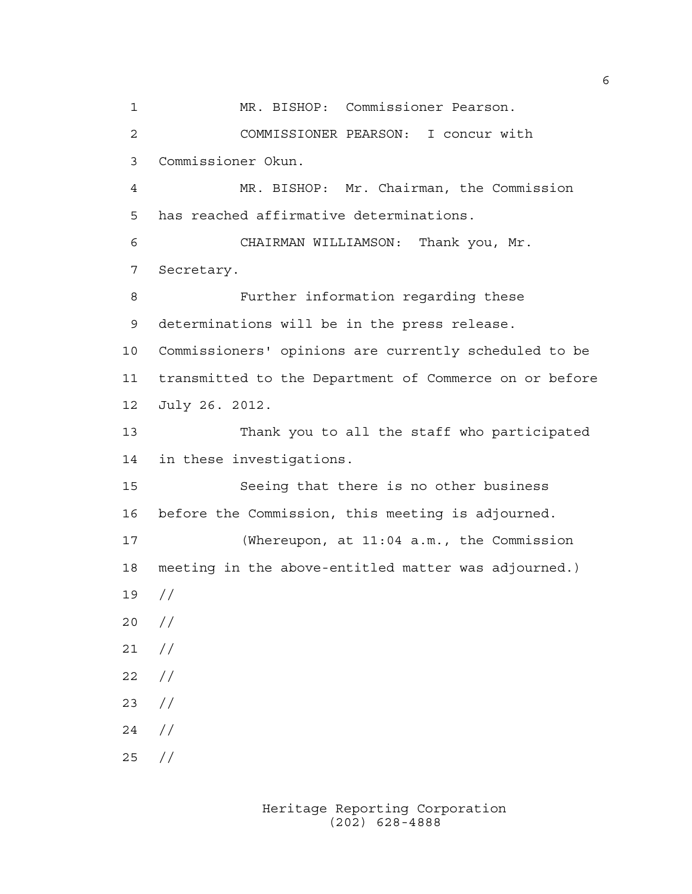1 MR. BISHOP: Commissioner Pearson. 2 COMMISSIONER PEARSON: I concur with 3 Commissioner Okun. 4 MR. BISHOP: Mr. Chairman, the Commission 5 has reached affirmative determinations. 6 CHAIRMAN WILLIAMSON: Thank you, Mr. 7 Secretary. 8 Further information regarding these 9 determinations will be in the press release. 10 Commissioners' opinions are currently scheduled to be 11 transmitted to the Department of Commerce on or before 12 July 26. 2012. 13 Thank you to all the staff who participated 14 in these investigations. 15 Seeing that there is no other business 16 before the Commission, this meeting is adjourned. 17 (Whereupon, at 11:04 a.m., the Commission 18 meeting in the above-entitled matter was adjourned.) 19 // 20 // 21 // 22 // 23 // 24 // 25 //